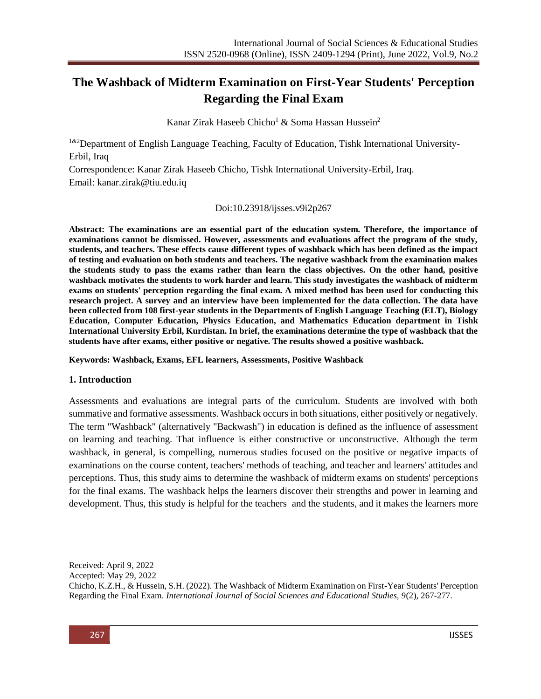# **The Washback of Midterm Examination on First-Year Students' Perception Regarding the Final Exam**

Kanar Zirak Haseeb Chicho<sup>1</sup> & Soma Hassan Hussein<sup>2</sup>

<sup>1&2</sup>Department of English Language Teaching, Faculty of Education, Tishk International University-Erbil, Iraq

Correspondence: Kanar Zirak Haseeb Chicho, Tishk International University-Erbil, Iraq. Email: [kanar.zirak@tiu.edu.iq](mailto:kanar.zirak@tiu.edu.iq)

### Doi:10.23918/ijsses.v9i2p267

**Abstract: The examinations are an essential part of the education system. Therefore, the importance of examinations cannot be dismissed. However, assessments and evaluations affect the program of the study, students, and teachers. These effects cause different types of washback which has been defined as the impact of testing and evaluation on both students and teachers. The negative washback from the examination makes the students study to pass the exams rather than learn the class objectives. On the other hand, positive washback motivates the students to work harder and learn. This study investigates the washback of midterm exams on students' perception regarding the final exam. A mixed method has been used for conducting this research project. A survey and an interview have been implemented for the data collection. The data have been collected from 108 first-year students in the Departments of English Language Teaching (ELT), Biology Education, Computer Education, Physics Education, and Mathematics Education department in Tishk International University Erbil, Kurdistan. In brief, the examinations determine the type of washback that the students have after exams, either positive or negative. The results showed a positive washback.** 

**Keywords: Washback, Exams, EFL learners, Assessments, Positive Washback**

### **1. Introduction**

Assessments and evaluations are integral parts of the curriculum. Students are involved with both summative and formative assessments. Washback occurs in both situations, either positively or negatively. The term "Washback" (alternatively "Backwash") in education is defined as the influence of assessment on learning and teaching. That influence is either constructive or unconstructive. Although the term washback, in general, is compelling, numerous studies focused on the positive or negative impacts of examinations on the course content, teachers' methods of teaching, and teacher and learners' attitudes and perceptions. Thus, this study aims to determine the washback of midterm exams on students' perceptions for the final exams. The washback helps the learners discover their strengths and power in learning and development. Thus, this study is helpful for the teachers and the students, and it makes the learners more

Received: April 9, 2022

Accepted: May 29, 2022

Chicho, K.Z.H., & Hussein, S.H. (2022). The Washback of Midterm Examination on First-Year Students' Perception Regarding the Final Exam. *International Journal of Social Sciences and Educational Studies, 9*(2), 267-277.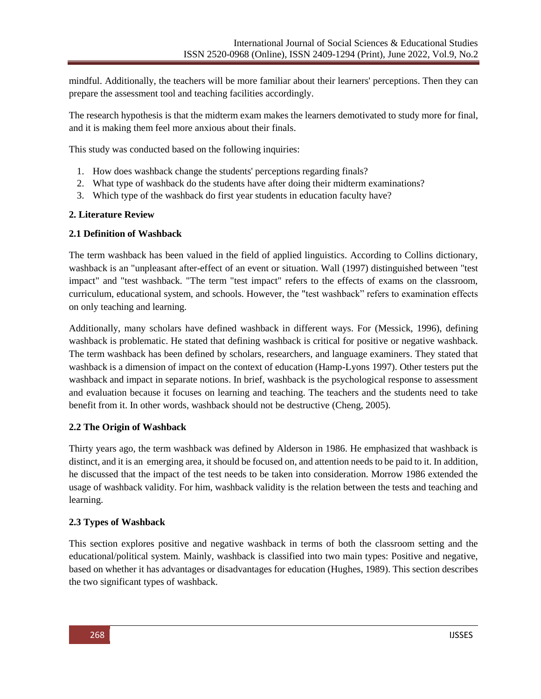mindful. Additionally, the teachers will be more familiar about their learners' perceptions. Then they can prepare the assessment tool and teaching facilities accordingly.

The research hypothesis is that the midterm exam makes the learners demotivated to study more for final, and it is making them feel more anxious about their finals.

This study was conducted based on the following inquiries:

- 1. How does washback change the students' perceptions regarding finals?
- 2. What type of washback do the students have after doing their midterm examinations?
- 3. Which type of the washback do first year students in education faculty have?

### **2. Literature Review**

### **2.1 Definition of Washback**

The term washback has been valued in the field of applied linguistics. According to Collins dictionary, washback is an "unpleasant after-effect of an event or situation. Wall (1997) distinguished between "test impact" and "test washback. "The term "test impact" refers to the effects of exams on the classroom, curriculum, educational system, and schools. However, the "test washback" refers to examination effects on only teaching and learning.

Additionally, many scholars have defined washback in different ways. For (Messick, 1996), defining washback is problematic. He stated that defining washback is critical for positive or negative washback. The term washback has been defined by scholars, researchers, and language examiners. They stated that washback is a dimension of impact on the context of education (Hamp-Lyons 1997). Other testers put the washback and impact in separate notions. In brief, washback is the psychological response to assessment and evaluation because it focuses on learning and teaching. The teachers and the students need to take benefit from it. In other words, washback should not be destructive (Cheng, 2005).

# **2.2 The Origin of Washback**

Thirty years ago, the term washback was defined by Alderson in 1986. He emphasized that washback is distinct, and it is an emerging area, it should be focused on, and attention needs to be paid to it. In addition, he discussed that the impact of the test needs to be taken into consideration. Morrow 1986 extended the usage of washback validity. For him, washback validity is the relation between the tests and teaching and learning.

# **2.3 Types of Washback**

This section explores positive and negative washback in terms of both the classroom setting and the educational/political system. Mainly, washback is classified into two main types: Positive and negative, based on whether it has advantages or disadvantages for education (Hughes, 1989). This section describes the two significant types of washback.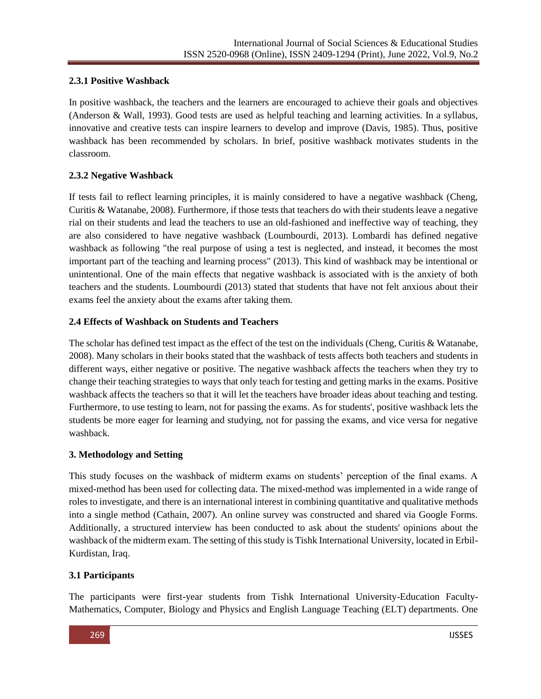# **2.3.1 Positive Washback**

In positive washback, the teachers and the learners are encouraged to achieve their goals and objectives (Anderson & Wall, 1993). Good tests are used as helpful teaching and learning activities. In a syllabus, innovative and creative tests can inspire learners to develop and improve (Davis, 1985). Thus, positive washback has been recommended by scholars. In brief, positive washback motivates students in the classroom.

# **2.3.2 Negative Washback**

If tests fail to reflect learning principles, it is mainly considered to have a negative washback (Cheng, Curitis & Watanabe, 2008). Furthermore, if those tests that teachers do with their students leave a negative rial on their students and lead the teachers to use an old-fashioned and ineffective way of teaching, they are also considered to have negative washback (Loumbourdi, 2013). Lombardi has defined negative washback as following "the real purpose of using a test is neglected, and instead, it becomes the most important part of the teaching and learning process" (2013). This kind of washback may be intentional or unintentional. One of the main effects that negative washback is associated with is the anxiety of both teachers and the students. Loumbourdi (2013) stated that students that have not felt anxious about their exams feel the anxiety about the exams after taking them.

### **2.4 Effects of Washback on Students and Teachers**

The scholar has defined test impact as the effect of the test on the individuals (Cheng, Curitis & Watanabe, 2008). Many scholars in their books stated that the washback of tests affects both teachers and students in different ways, either negative or positive. The negative washback affects the teachers when they try to change their teaching strategies to ways that only teach for testing and getting marks in the exams. Positive washback affects the teachers so that it will let the teachers have broader ideas about teaching and testing. Furthermore, to use testing to learn, not for passing the exams. As for students', positive washback lets the students be more eager for learning and studying, not for passing the exams, and vice versa for negative washback.

### **3. Methodology and Setting**

This study focuses on the washback of midterm exams on students' perception of the final exams. A mixed-method has been used for collecting data. The mixed-method was implemented in a wide range of roles to investigate, and there is an international interest in combining quantitative and qualitative methods into a single method (Cathain, 2007). An online survey was constructed and shared via Google Forms. Additionally, a structured interview has been conducted to ask about the students' opinions about the washback of the midterm exam. The setting of this study is Tishk International University, located in Erbil-Kurdistan, Iraq.

# **3.1 Participants**

The participants were first-year students from Tishk International University-Education Faculty-Mathematics, Computer, Biology and Physics and English Language Teaching (ELT) departments. One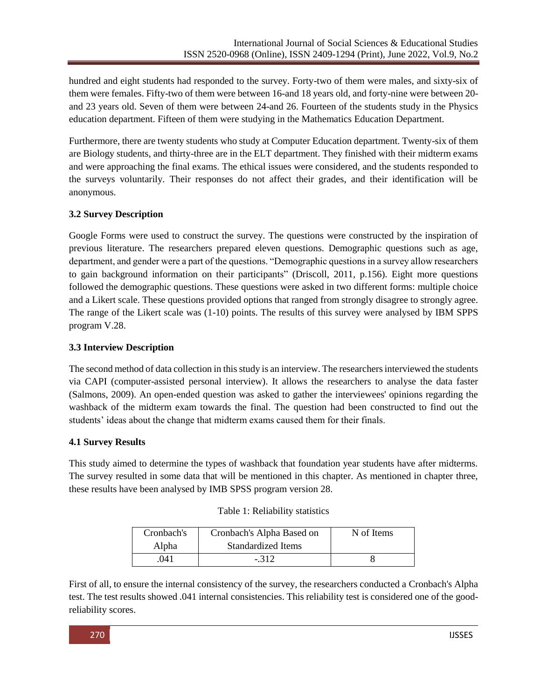hundred and eight students had responded to the survey. Forty-two of them were males, and sixty-six of them were females. Fifty-two of them were between 16-and 18 years old, and forty-nine were between 20 and 23 years old. Seven of them were between 24-and 26. Fourteen of the students study in the Physics education department. Fifteen of them were studying in the Mathematics Education Department.

Furthermore, there are twenty students who study at Computer Education department. Twenty-six of them are Biology students, and thirty-three are in the ELT department. They finished with their midterm exams and were approaching the final exams. The ethical issues were considered, and the students responded to the surveys voluntarily. Their responses do not affect their grades, and their identification will be anonymous.

# **3.2 Survey Description**

Google Forms were used to construct the survey. The questions were constructed by the inspiration of previous literature. The researchers prepared eleven questions. Demographic questions such as age, department, and gender were a part of the questions. "Demographic questions in a survey allow researchers to gain background information on their participants" (Driscoll, 2011, p.156). Eight more questions followed the demographic questions. These questions were asked in two different forms: multiple choice and a Likert scale. These questions provided options that ranged from strongly disagree to strongly agree. The range of the Likert scale was (1-10) points. The results of this survey were analysed by IBM SPPS program V.28.

# **3.3 Interview Description**

The second method of data collection in this study is an interview. The researchers interviewed the students via CAPI (computer-assisted personal interview). It allows the researchers to analyse the data faster (Salmons, 2009). An open-ended question was asked to gather the interviewees' opinions regarding the washback of the midterm exam towards the final. The question had been constructed to find out the students' ideas about the change that midterm exams caused them for their finals.

# **4.1 Survey Results**

This study aimed to determine the types of washback that foundation year students have after midterms. The survey resulted in some data that will be mentioned in this chapter. As mentioned in chapter three, these results have been analysed by IMB SPSS program version 28.

| Table 1: Reliability statistics |  |  |
|---------------------------------|--|--|
|---------------------------------|--|--|

| Cronbach's | Cronbach's Alpha Based on | N of Items |
|------------|---------------------------|------------|
| Alpha      | <b>Standardized Items</b> |            |
| 041        | $-312$                    |            |

First of all, to ensure the internal consistency of the survey, the researchers conducted a Cronbach's Alpha test. The test results showed .041 internal consistencies. This reliability test is considered one of the goodreliability scores.

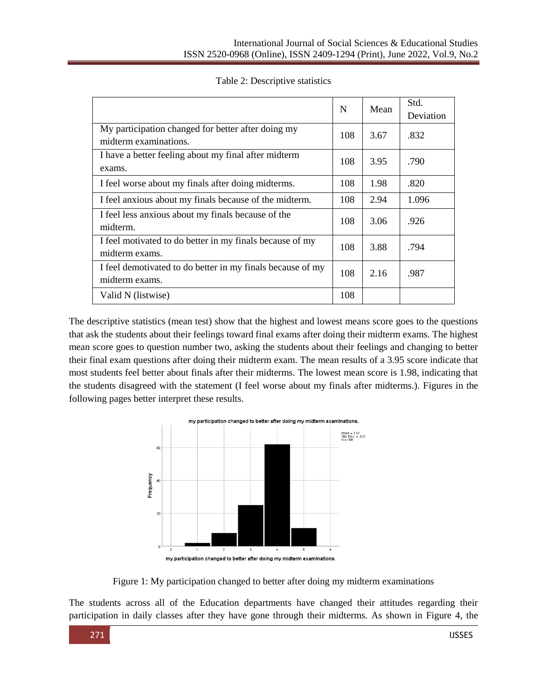|                                                                              |     | Mean | Std.      |  |
|------------------------------------------------------------------------------|-----|------|-----------|--|
|                                                                              | N   |      | Deviation |  |
| My participation changed for better after doing my<br>midterm examinations.  | 108 | 3.67 | .832      |  |
| I have a better feeling about my final after midterm<br>exams.               | 108 | 3.95 | .790      |  |
| I feel worse about my finals after doing midterms.                           | 108 | 1.98 | .820      |  |
| I feel anxious about my finals because of the midterm.                       | 108 | 2.94 | 1.096     |  |
| I feel less anxious about my finals because of the<br>midterm.               | 108 | 3.06 | .926      |  |
| I feel motivated to do better in my finals because of my<br>midterm exams.   | 108 | 3.88 | .794      |  |
| I feel demotivated to do better in my finals because of my<br>midterm exams. | 108 | 2.16 | .987      |  |
| Valid N (listwise)                                                           | 108 |      |           |  |

The descriptive statistics (mean test) show that the highest and lowest means score goes to the questions that ask the students about their feelings toward final exams after doing their midterm exams. The highest mean score goes to question number two, asking the students about their feelings and changing to better their final exam questions after doing their midterm exam. The mean results of a 3.95 score indicate that most students feel better about finals after their midterms. The lowest mean score is 1.98, indicating that the students disagreed with the statement (I feel worse about my finals after midterms.). Figures in the following pages better interpret these results.



Figure 1: My participation changed to better after doing my midterm examinations

The students across all of the Education departments have changed their attitudes regarding their participation in daily classes after they have gone through their midterms. As shown in Figure 4, the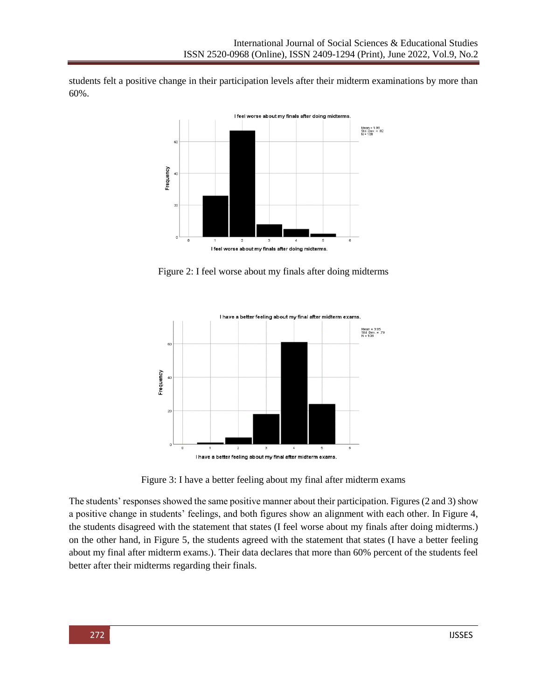students felt a positive change in their participation levels after their midterm examinations by more than 60%.



Figure 2: I feel worse about my finals after doing midterms



Figure 3: I have a better feeling about my final after midterm exams

The students' responses showed the same positive manner about their participation. Figures (2 and 3) show a positive change in students' feelings, and both figures show an alignment with each other. In Figure 4, the students disagreed with the statement that states (I feel worse about my finals after doing midterms.) on the other hand, in Figure 5, the students agreed with the statement that states (I have a better feeling about my final after midterm exams.). Their data declares that more than 60% percent of the students feel better after their midterms regarding their finals.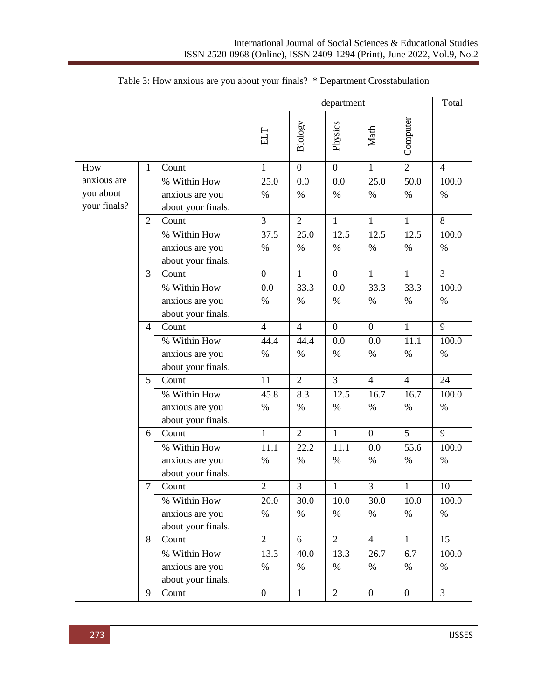|              |                |                       | department     |                |                |                | Total          |                |
|--------------|----------------|-----------------------|----------------|----------------|----------------|----------------|----------------|----------------|
|              |                |                       | ELT            | Biology        | Physics        | Math           | Computer       |                |
| How          | 1              | Count                 | $\mathbf{1}$   | $\overline{0}$ | $\overline{0}$ | $\mathbf{1}$   | $\overline{2}$ | $\overline{4}$ |
| anxious are  |                | % Within How          | 25.0           | 0.0            | 0.0            | 25.0           | 50.0           | 100.0          |
| you about    |                | anxious are you       | $\%$           | $\%$           | $\%$           | $\%$           | $\%$           | $\%$           |
| your finals? |                | about your finals.    |                |                |                |                |                |                |
|              | $\overline{2}$ | Count                 | 3              | $\overline{2}$ | $\mathbf{1}$   | $\mathbf{1}$   | $\mathbf{1}$   | 8              |
|              |                | % Within How          | 37.5           | 25.0           | 12.5           | 12.5           | 12.5           | 100.0          |
|              |                | anxious are you       | $\%$           | $\%$           | $\%$           | $\%$           | $\%$           | $\%$           |
|              |                | about your finals.    |                |                |                |                |                |                |
|              | 3              | Count                 | $\overline{0}$ | $\mathbf{1}$   | $\overline{0}$ | $\mathbf{1}$   | $\mathbf{1}$   | $\overline{3}$ |
|              |                | % Within How          | 0.0            | 33.3           | 0.0            | 33.3           | 33.3           | 100.0          |
|              |                | anxious are you       | $\%$           | $\%$           | $\%$           | $\%$           | $\%$           | $\%$           |
|              |                | about your finals.    | $\overline{4}$ | $\overline{4}$ | $\overline{0}$ | $\overline{0}$ | $\mathbf{1}$   | 9              |
|              | $\overline{4}$ | Count<br>% Within How | 44.4           | 44.4           |                |                | 11.1           | 100.0          |
|              |                | anxious are you       | $\%$           | $\%$           | 0.0<br>$\%$    | 0.0<br>$\%$    | $\%$           | $\%$           |
|              |                | about your finals.    |                |                |                |                |                |                |
|              | 5              | Count                 | 11             | $\overline{2}$ | $\overline{3}$ | $\overline{4}$ | $\overline{4}$ | 24             |
|              |                | % Within How          | 45.8           | 8.3            | 12.5           | 16.7           | 16.7           | 100.0          |
|              |                | anxious are you       | $\%$           | $\%$           | $\%$           | $\%$           | $\%$           | $\%$           |
|              |                | about your finals.    |                |                |                |                |                |                |
|              | 6              | Count                 | $\overline{1}$ | $\overline{2}$ | $\overline{1}$ | $\overline{0}$ | 5              | 9              |
|              |                | % Within How          | 11.1           | 22.2           | 11.1           | 0.0            | 55.6           | 100.0          |
|              |                | anxious are you       | $\%$           | $\%$           | $\%$           | $\%$           | $\%$           | $\%$           |
|              |                | about your finals.    |                |                |                |                |                |                |
|              | $\tau$         | Count                 | $\overline{2}$ | 3              | 1              | 3              | $\mathbf{1}$   | 10             |
|              |                | % Within How          | 20.0           | 30.0           | 10.0           | 30.0           | 10.0           | 100.0          |
|              |                | anxious are you       | $\%$           | $\%$           | $\%$           | $\%$           | $\%$           | $\%$           |
|              |                | about your finals.    |                |                |                |                |                |                |
|              | 8              | Count                 | $\overline{2}$ | 6              | $\overline{2}$ | $\overline{4}$ | $\mathbf{1}$   | 15             |
|              |                | % Within How          | 13.3           | 40.0           | 13.3           | 26.7           | 6.7            | 100.0          |
|              |                | anxious are you       | $\%$           | $\%$           | $\%$           | $\%$           | $\%$           | $\%$           |
|              |                | about your finals.    |                |                |                |                |                |                |
|              | 9              | Count                 | $\mathbf{0}$   | $\mathbf{1}$   | $\overline{2}$ | $\mathbf{0}$   | $\overline{0}$ | $\overline{3}$ |

# Table 3: How anxious are you about your finals? \* Department Crosstabulation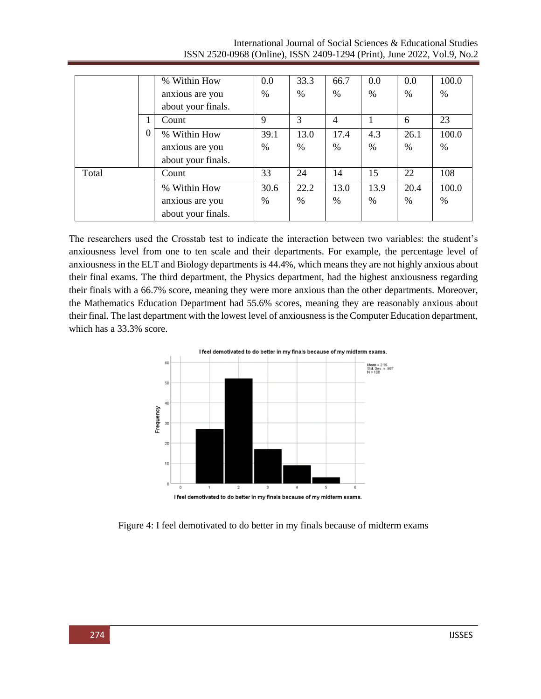|       |   | % Within How       | 0.0  | 33.3          | 66.7 | 0.0  | 0.0  | 100.0 |
|-------|---|--------------------|------|---------------|------|------|------|-------|
|       |   | anxious are you    | $\%$ | $\frac{0}{0}$ | %    | %    | $\%$ | $\%$  |
|       |   | about your finals. |      |               |      |      |      |       |
|       |   | Count              | 9    | 3             | 4    |      | 6    | 23    |
|       | U | % Within How       | 39.1 | 13.0          | 17.4 | 4.3  | 26.1 | 100.0 |
|       |   | anxious are you    | %    | $\frac{0}{0}$ | $\%$ | %    | %    | $\%$  |
|       |   | about your finals. |      |               |      |      |      |       |
| Total |   | Count              | 33   | 24            | 14   | 15   | 22   | 108   |
|       |   | % Within How       | 30.6 | 22.2          | 13.0 | 13.9 | 20.4 | 100.0 |
|       |   | anxious are you    | %    | $\%$          | $\%$ | %    | $\%$ | $\%$  |
|       |   | about your finals. |      |               |      |      |      |       |

International Journal of Social Sciences & Educational Studies ISSN 2520-0968 (Online), ISSN 2409-1294 (Print), June 2022, Vol.9, No.2

The researchers used the Crosstab test to indicate the interaction between two variables: the student's anxiousness level from one to ten scale and their departments. For example, the percentage level of anxiousness in the ELT and Biology departments is 44.4%, which means they are not highly anxious about their final exams. The third department, the Physics department, had the highest anxiousness regarding their finals with a 66.7% score, meaning they were more anxious than the other departments. Moreover, the Mathematics Education Department had 55.6% scores, meaning they are reasonably anxious about their final. The last department with the lowest level of anxiousness is the Computer Education department, which has a 33.3% score.



Figure 4: I feel demotivated to do better in my finals because of midterm exams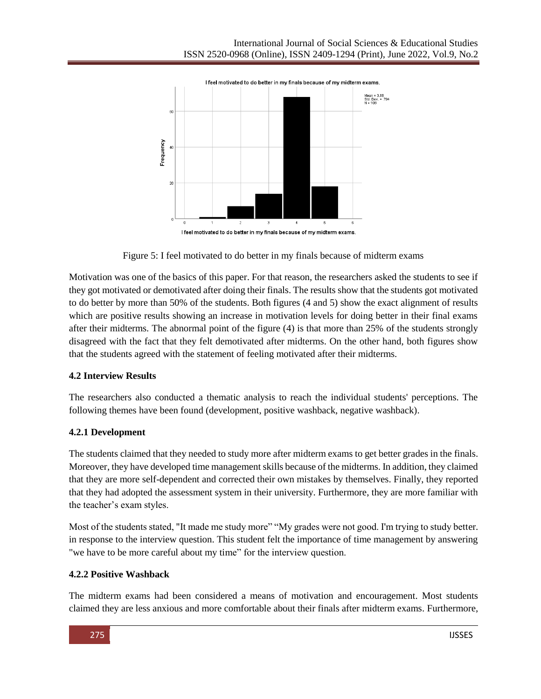

Figure 5: I feel motivated to do better in my finals because of midterm exams

Motivation was one of the basics of this paper. For that reason, the researchers asked the students to see if they got motivated or demotivated after doing their finals. The results show that the students got motivated to do better by more than 50% of the students. Both figures (4 and 5) show the exact alignment of results which are positive results showing an increase in motivation levels for doing better in their final exams after their midterms. The abnormal point of the figure (4) is that more than 25% of the students strongly disagreed with the fact that they felt demotivated after midterms. On the other hand, both figures show that the students agreed with the statement of feeling motivated after their midterms.

# **4.2 Interview Results**

The researchers also conducted a thematic analysis to reach the individual students' perceptions. The following themes have been found (development, positive washback, negative washback).

# **4.2.1 Development**

The students claimed that they needed to study more after midterm exams to get better grades in the finals. Moreover, they have developed time management skills because of the midterms. In addition, they claimed that they are more self-dependent and corrected their own mistakes by themselves. Finally, they reported that they had adopted the assessment system in their university. Furthermore, they are more familiar with the teacher's exam styles.

Most of the students stated, "It made me study more" "My grades were not good. I'm trying to study better. in response to the interview question. This student felt the importance of time management by answering "we have to be more careful about my time" for the interview question.

# **4.2.2 Positive Washback**

The midterm exams had been considered a means of motivation and encouragement. Most students claimed they are less anxious and more comfortable about their finals after midterm exams. Furthermore,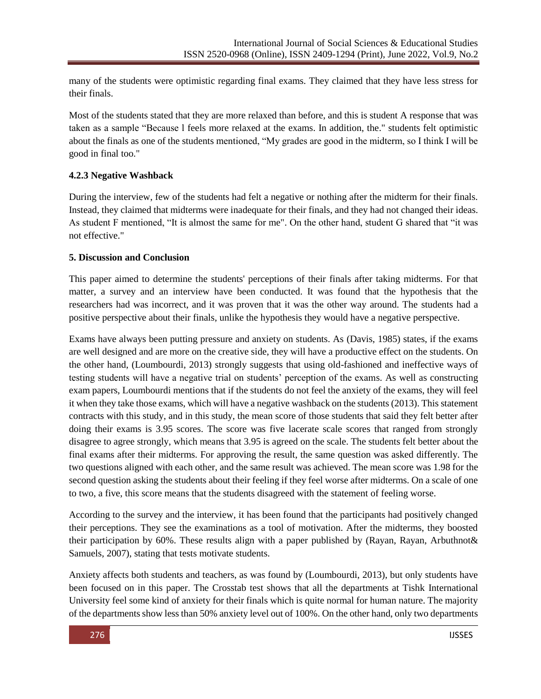many of the students were optimistic regarding final exams. They claimed that they have less stress for their finals.

Most of the students stated that they are more relaxed than before, and this is student A response that was taken as a sample "Because l feels more relaxed at the exams. In addition, the." students felt optimistic about the finals as one of the students mentioned, "My grades are good in the midterm, so I think I will be good in final too."

### **4.2.3 Negative Washback**

During the interview, few of the students had felt a negative or nothing after the midterm for their finals. Instead, they claimed that midterms were inadequate for their finals, and they had not changed their ideas. As student F mentioned, "It is almost the same for me". On the other hand, student G shared that "it was not effective."

### **5. Discussion and Conclusion**

This paper aimed to determine the students' perceptions of their finals after taking midterms. For that matter, a survey and an interview have been conducted. It was found that the hypothesis that the researchers had was incorrect, and it was proven that it was the other way around. The students had a positive perspective about their finals, unlike the hypothesis they would have a negative perspective.

Exams have always been putting pressure and anxiety on students. As (Davis, 1985) states, if the exams are well designed and are more on the creative side, they will have a productive effect on the students. On the other hand, (Loumbourdi, 2013) strongly suggests that using old-fashioned and ineffective ways of testing students will have a negative trial on students' perception of the exams. As well as constructing exam papers, Loumbourdi mentions that if the students do not feel the anxiety of the exams, they will feel it when they take those exams, which will have a negative washback on the students (2013). This statement contracts with this study, and in this study, the mean score of those students that said they felt better after doing their exams is 3.95 scores. The score was five lacerate scale scores that ranged from strongly disagree to agree strongly, which means that 3.95 is agreed on the scale. The students felt better about the final exams after their midterms. For approving the result, the same question was asked differently. The two questions aligned with each other, and the same result was achieved. The mean score was 1.98 for the second question asking the students about their feeling if they feel worse after midterms. On a scale of one to two, a five, this score means that the students disagreed with the statement of feeling worse.

According to the survey and the interview, it has been found that the participants had positively changed their perceptions. They see the examinations as a tool of motivation. After the midterms, they boosted their participation by 60%. These results align with a paper published by (Rayan, Rayan, Arbuthnot& Samuels, 2007), stating that tests motivate students.

Anxiety affects both students and teachers, as was found by (Loumbourdi, 2013), but only students have been focused on in this paper. The Crosstab test shows that all the departments at Tishk International University feel some kind of anxiety for their finals which is quite normal for human nature. The majority of the departments show less than 50% anxiety level out of 100%. On the other hand, only two departments